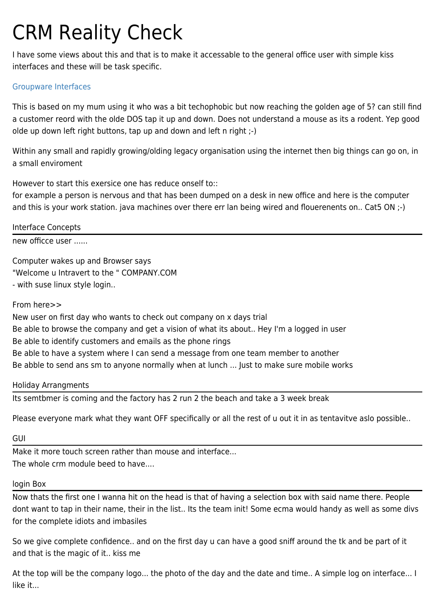# CRM Reality Check

I have some views about this and that is to make it accessable to the general office user with simple kiss interfaces and these will be task specific.

## [Groupware Interfaces](https://tiki.org/Groupware-Interfaces)

This is based on my mum using it who was a bit techophobic but now reaching the golden age of 5? can still find a customer reord with the olde DOS tap it up and down. Does not understand a mouse as its a rodent. Yep good olde up down left right buttons, tap up and down and left n right ;-)

Within any small and rapidly growing/olding [legacy](https://tiki.org/tiki-editpage.php?page=legacy) organisation using the internet then big things can go on, in a small enviroment

However to start this exersice one has reduce onself to::

for example a person is nervous and that has been dumped on a desk in new office and here is the computer and this is your work station. java machines over there err lan being wired and flouerenents on.. Cat5 ON ;-)

Interface Concepts

new officce user ......

Computer wakes up and Browser says "Welcome u Intravert to the " COMPANY.COM - with suse linux style login..

From here>>

New user on first day who wants to check out company on x days trial Be able to browse the company and get a vision of what its about.. Hey I'm a logged in user Be able to identify customers and emails as the phone rings Be able to have a system where I can send a message from one team member to another Be abble to send ans sm to anyone normally when at lunch ... Just to make sure mobile works

#### Holiday Arrangments

Its semtbmer is coming and the factory has 2 run 2 the beach and take a 3 week break

Please everyone mark what they want OFF specifically or all the rest of u out it in as tentavitve aslo possible..

GUI

Make it more touch screen rather than mouse and interface... The whole crm module beed to have....

#### login Box

Now thats the first one I wanna hit on the head is that of having a selection box with said name there. People dont want to tap in their name, their in the list.. Its the team init! Some ecma would handy as well as some divs for the complete idiots and imbasiles

So we give complete confidence.. and on the first day u can have a good sniff around the tk and be part of it and that is the magic of it.. [kiss](https://tiki.org/tiki-editpage.php?page=kiss) me

At the top will be the company logo... the photo of the day and the date and time.. A simple log on interface... I like it...